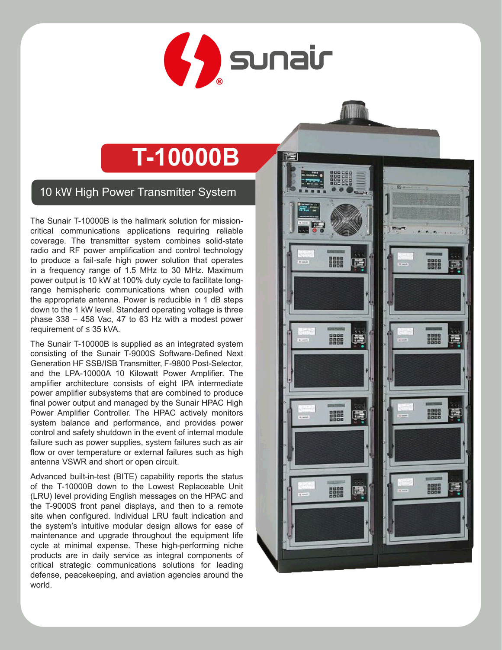

# **T-10000B**

10 kW High Power Transmitter System

The Sunair T-10000B is the hallmark solution for missioncritical communications applications requiring reliable coverage. The transmitter system combines solid-state radio and RF power amplification and control technology to produce a fail-safe high power solution that operates in a frequency range of 1.5 MHz to 30 MHz. Maximum power output is 10 kW at 100% duty cycle to facilitate longrange hemispheric communications when coupled with the appropriate antenna. Power is reducible in 1 dB steps down to the 1 kW level. Standard operating voltage is three phase 338 – 458 Vac, 47 to 63 Hz with a modest power requirement of ≤ 35 kVA.

The Sunair T-10000B is supplied as an integrated system consisting of the Sunair T-9000S Software-Defined Next Generation HF SSB/ISB Transmitter, F-9800 Post-Selector, and the LPA-10000A 10 Kilowatt Power Amplifier. The amplifier architecture consists of eight IPA intermediate power amplifier subsystems that are combined to produce final power output and managed by the Sunair HPAC High Power Amplifier Controller. The HPAC actively monitors system balance and performance, and provides power control and safety shutdown in the event of internal module failure such as power supplies, system failures such as air flow or over temperature or external failures such as high antenna VSWR and short or open circuit.

Advanced built-in-test (BITE) capability reports the status of the T-10000B down to the Lowest Replaceable Unit (LRU) level providing English messages on the HPAC and the T-9000S front panel displays, and then to a remote site when configured. Individual LRU fault indication and the system's intuitive modular design allows for ease of maintenance and upgrade throughout the equipment life cycle at minimal expense. These high-performing niche products are in daily service as integral components of critical strategic communications solutions for leading defense, peacekeeping, and aviation agencies around the world.

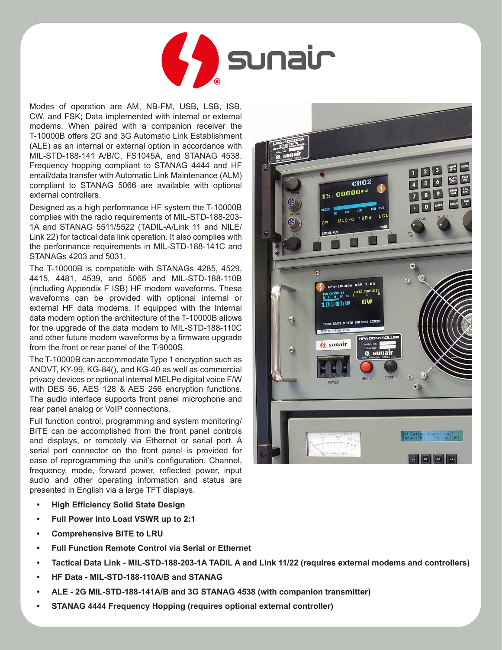

Modes of operation are AM, NB-FM, USB, LSB, ISB, CW, and FSK; Data implemented with internal or external modems. When paired with a companion receiver the T-10000B offers 2G and 3G Automatic Link Establishment (ALE) as an internal or external option in accordance with MIL-STD-188-141 A/B/C, FS1045A, and STANAG 4538. Frequency hopping compliant to STANAG 4444 and HF email/data transfer with Automatic Link Maintenance (ALM) compliant to STANAG 5066 are available with optional external controllers.

Designed as a high performance HF system the T-10000B complies with the radio requirements of MIL-STD-188-203- 1A and STANAG 5511/5522 (TADIL-A/Link 11 and NILE/ Link 22) for tactical data link operation. It also complies with the performance requirements in MIL-STD-188-141C and STANAGs 4203 and 5031.

The T-10000B is compatible with STANAGs 4285, 4529, 4415, 4481, 4539, and 5065 and MIL-STD-188-110B (including Appendix F ISB) HF modem waveforms. These waveforms can be provided with optional internal or external HF data modems. If equipped with the Internal data modem option the architecture of the T-10000B allows for the upgrade of the data modem to MIL-STD-188-110C and other future modem waveforms by a firmware upgrade from the front or rear panel of the T-9000S.

The T-10000B can accommodate Type 1 encryption such as ANDVT, KY-99, KG-84(), and KG-40 as well as commercial privacy devices or optional internal MELPe digital voice F/W with DES 56, AES 128 & AES 256 encryption functions. The audio interface supports front panel microphone and rear panel analog or VoIP connections.

Full function control, programming and system monitoring/ BITE can be accomplished from the front panel controls and displays, or remotely via Ethernet or serial port. A serial port connector on the front panel is provided for ease of reprogramming the unit's configuration. Channel, frequency, mode, forward power, reflected power, input audio and other operating information and status are presented in English via a large TFT displays.

- **• High Efficiency Solid State Design**
- **• Full Power into Load VSWR up to 2:1**
- **• Comprehensive BITE to LRU**
- **• Full Function Remote Control via Serial or Ethernet**
- **• Tactical Data Link - MIL-STD-188-203-1A TADIL A and Link 11/22 (requires external modems and controllers)**
- **• HF Data - MIL-STD-188-110A/B and STANAG**
- **• ALE - 2G MIL-STD-188-141A/B and 3G STANAG 4538 (with companion transmitter)**
- **• STANAG 4444 Frequency Hopping (requires optional external controller)**

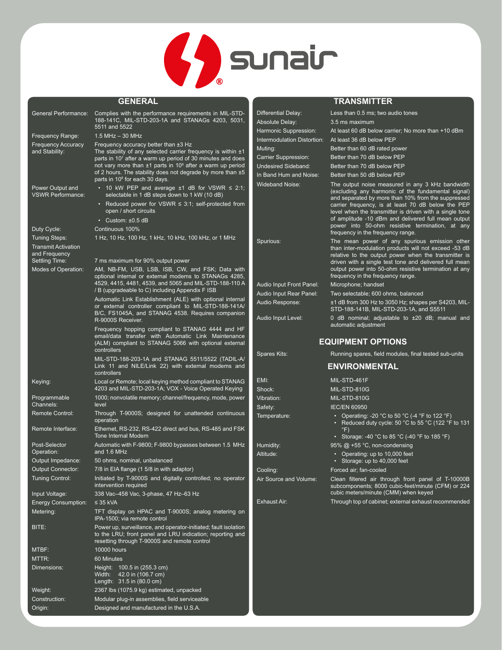

|                                                                     | <b>GENERAL</b>                                                                                                                                                                   |                                                      | <b>TRANSMITTER</b>                                                                                                                                                  |
|---------------------------------------------------------------------|----------------------------------------------------------------------------------------------------------------------------------------------------------------------------------|------------------------------------------------------|---------------------------------------------------------------------------------------------------------------------------------------------------------------------|
|                                                                     | General Performance: Complies with the performance requirements in MIL-STD-                                                                                                      | Differential Delay:                                  | Less than 0.5 ms; two audio tones                                                                                                                                   |
|                                                                     | 188-141C, MIL-STD-203-1A and STANAGs 4203, 5031,                                                                                                                                 | Absolute Delay:                                      | 3.5 ms maximum                                                                                                                                                      |
| Frequency Range:                                                    | 5511 and 5522<br>$1.5$ MHz $-$ 30 MHz                                                                                                                                            | Harmonic Suppression:                                | At least 60 dB below carrier; No more than +10 dBm                                                                                                                  |
| <b>Frequency Accuracy</b>                                           | Frequency accuracy better than $\pm 3$ Hz                                                                                                                                        | Intermodulation Distortion:                          | At least 36 dB below PEP                                                                                                                                            |
| and Stability:                                                      | The stability of any selected carrier frequency is within $±1$                                                                                                                   | Muting:                                              | Better than 60 dB rated power                                                                                                                                       |
|                                                                     | parts in 10 <sup>7</sup> after a warm up period of 30 minutes and does                                                                                                           | Carrier Suppression:                                 | Better than 70 dB below PEP                                                                                                                                         |
|                                                                     | not vary more than ±1 parts in 10 <sup>8</sup> after a warm up period<br>of 2 hours. The stability does not degrade by more than ±5                                              | <b>Undesired Sideband:</b><br>In Band Hum and Noise: | Better than 70 dB below PEP<br>Better than 50 dB below PEP                                                                                                          |
| Power Output and<br><b>VSWR Performance:</b>                        | parts in 10 <sup>8</sup> for each 30 days.<br>• 10 kW PEP and average $\pm 1$ dB for VSWR $\leq$ 2:1;<br>selectable in 1 dB steps down to 1 kW (10 dB)                           | <b>Wideband Noise:</b>                               | The output noise measured in any 3 kHz bandwidth<br>(excluding any harmonic of the fundamental signal)                                                              |
|                                                                     | • Reduced power for VSWR $\leq$ 3:1; self-protected from<br>open / short circuits                                                                                                |                                                      | and separated by more than 10% from the suppressed<br>carrier frequency, is at least 70 dB below the PEP<br>level when the transmitter is driven with a single tone |
|                                                                     | $\cdot$ Custom: $\pm 0.5$ dB                                                                                                                                                     |                                                      | of amplitude -10 dBm and delivered full mean output<br>power into 50-ohm resistive termination, at any                                                              |
| Duty Cycle:                                                         | Continuous 100%                                                                                                                                                                  |                                                      | frequency in the frequency range.                                                                                                                                   |
| <b>Tuning Steps:</b><br><b>Transmit Activation</b><br>and Frequency | 1 Hz, 10 Hz, 100 Hz, 1 kHz, 10 kHz, 100 kHz, or 1 MHz                                                                                                                            | Spurious:                                            | The mean power of any spurious emission other<br>than inter-modulation products will not exceed -53 dB                                                              |
| Settling Time:                                                      | 7 ms maximum for 90% output power                                                                                                                                                |                                                      | relative to the output power when the transmitter is<br>driven with a single test tone and delivered full mean                                                      |
| Modes of Operation:                                                 | AM, NB-FM, USB, LSB, ISB, CW, and FSK; Data with<br>optional internal or external modems to STANAGs 4285,                                                                        |                                                      | output power into 50-ohm resistive termination at any<br>frequency in the frequency range.                                                                          |
|                                                                     | 4529, 4415, 4481, 4539, and 5065 and MIL-STD-188-110 A                                                                                                                           | Audio Input Front Panel:                             | Microphone; handset                                                                                                                                                 |
|                                                                     | / B (upgradeable to C) including Appendix F ISB                                                                                                                                  | Audio Input Rear Panel:                              | Two selectable; 600 ohms, balanced                                                                                                                                  |
|                                                                     | Automatic Link Establishment (ALE) with optional internal<br>or external controller compliant to MIL-STD-188-141A/<br>B/C, FS1045A, and STANAG 4538. Requires companion          | Audio Response:                                      | ±1 dB from 300 Hz to 3050 Hz; shapes per S4203, MIL-<br>STD-188-141B, MIL-STD-203-1A, and S5511                                                                     |
|                                                                     | R-9000S Receiver.                                                                                                                                                                | Audio Input Level:                                   | 0 dB nominal; adjustable to $\pm 20$ dB; manual and<br>automatic adjustment                                                                                         |
|                                                                     | Frequency hopping compliant to STANAG 4444 and HF<br>email/data transfer with Automatic Link Maintenance<br>(ALM) compliant to STANAG 5066 with optional external<br>controllers |                                                      | <b>EQUIPMENT OPTIONS</b>                                                                                                                                            |
|                                                                     | MIL-STD-188-203-1A and STANAG 5511/5522 (TADIL-A/                                                                                                                                | Spares Kits:                                         | Running spares, field modules, final tested sub-units                                                                                                               |
|                                                                     | Link 11 and NILE/Link 22) with external modems and                                                                                                                               |                                                      | <b>ENVIRONMENTAL</b>                                                                                                                                                |
|                                                                     | controllers                                                                                                                                                                      |                                                      |                                                                                                                                                                     |
| Keying:                                                             | Local or Remote; local keying method compliant to STANAG<br>4203 and MIL-STD-203-1A; VOX - Voice Operated Keying                                                                 | EMI:<br>Shock:                                       | MIL-STD-461F<br>MIL-STD-810G                                                                                                                                        |
| Programmable<br>Channels:                                           | 1000; nonvolatile memory; channel/frequency, mode, power<br>level                                                                                                                | Vibration:                                           | MIL-STD-810G                                                                                                                                                        |
| <b>Remote Control:</b>                                              | Through T-9000S; designed for unattended continuous<br>operation                                                                                                                 | Safety:<br>Temperature:                              | <b>IEC/EN 60950</b><br>• Operating: -20 °C to 50 °C (-4 °F to 122 °F)                                                                                               |
| Remote Interface:                                                   | Ethernet, RS-232, RS-422 direct and bus, RS-485 and FSK<br><b>Tone Internal Modem</b>                                                                                            |                                                      | • Reduced duty cycle: 50 $^{\circ}$ C to 55 $^{\circ}$ C (122 $^{\circ}$ F to 131<br>• Storage: -40 °C to 85 °C (-40 °F to 185 °F)                                  |
| Post-Selector                                                       | Automatic with F-9800; F-9800 bypasses between 1.5 MHz<br>and 1.6 MHz                                                                                                            | Humidity:                                            | 95% $@ + 55$ °C, non-condensing                                                                                                                                     |
| Operation:<br>Output Impedance:                                     | 50 ohms, nominal, unbalanced                                                                                                                                                     | Altitude:                                            | • Operating: up to 10,000 feet<br>• Storage: up to 40,000 feet                                                                                                      |
| Output Connector:                                                   | 7/8 in EIA flange (1 5/8 in with adaptor)                                                                                                                                        | Cooling:                                             | Forced air; fan-cooled                                                                                                                                              |
| <b>Tuning Control:</b>                                              | Initiated by T-9000S and digitally controlled; no operator<br>intervention required                                                                                              | Air Source and Volume:                               | Clean filtered air through front panel of T-10000B<br>subcomponents; 8000 cubic-feet/minute (CFM) or 224                                                            |
| Input Voltage:                                                      | 338 Vac-458 Vac, 3-phase, 47 Hz-63 Hz                                                                                                                                            |                                                      | cubic meters/minute (CMM) when keyed                                                                                                                                |
| <b>Energy Consumption:</b>                                          | $\leq$ 35 kVA                                                                                                                                                                    | <b>Exhaust Air:</b>                                  | Through top of cabinet; external exhaust recommended                                                                                                                |
| Metering:                                                           | TFT display on HPAC and T-9000S; analog metering on<br>IPA-1500; via remote control                                                                                              |                                                      |                                                                                                                                                                     |
| BITE:                                                               | Power up, surveillance, and operator-initiated; fault isolation<br>to the LRU; front panel and LRU indication; reporting and<br>resetting through T-9000S and remote control     |                                                      |                                                                                                                                                                     |
| MTBF:                                                               | <b>10000 hours</b>                                                                                                                                                               |                                                      |                                                                                                                                                                     |
| MTTR:                                                               | 60 Minutes                                                                                                                                                                       |                                                      |                                                                                                                                                                     |
| Dimensions:                                                         | Height: 100.5 in (255.3 cm)<br>Width: 42.0 in (106.7 cm)<br>Length: 31.5 in (80.0 cm)                                                                                            |                                                      |                                                                                                                                                                     |
| Weight:                                                             | 2367 lbs (1075.9 kg) estimated, unpacked                                                                                                                                         |                                                      |                                                                                                                                                                     |
| Construction:                                                       | Modular plug-in assemblies, field serviceable                                                                                                                                    |                                                      |                                                                                                                                                                     |